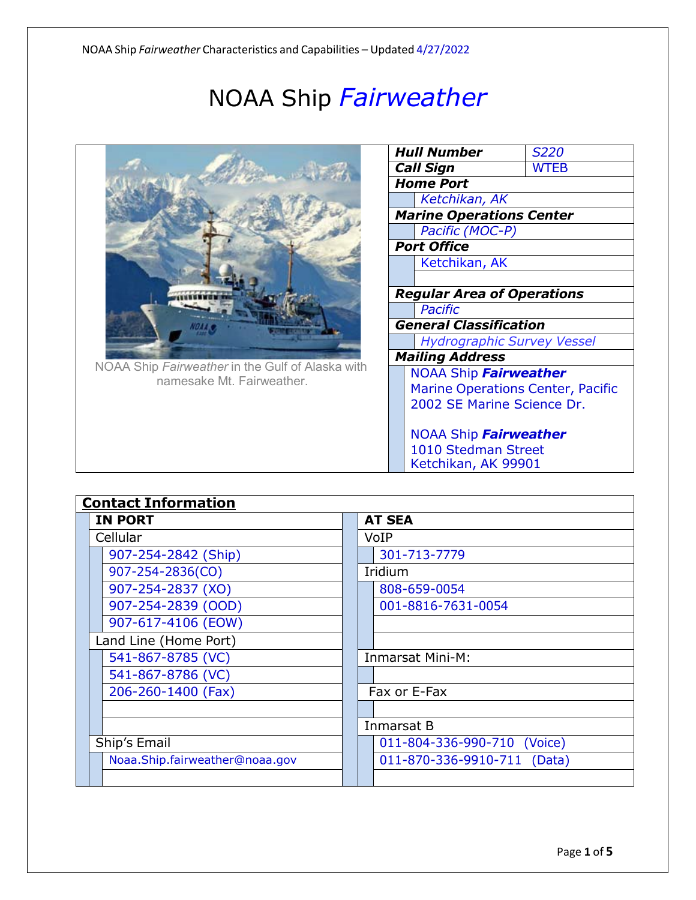## NOAA Ship *Fairweather*



NOAA Ship *Fairweather* in the Gulf of Alaska with namesake Mt. Fairweather.

|                            | Hull Number                              | <i>S220</i> |  |  |  |  |  |  |  |
|----------------------------|------------------------------------------|-------------|--|--|--|--|--|--|--|
|                            | <b>Call Sign</b>                         | WTEB        |  |  |  |  |  |  |  |
|                            | <b>Home Port</b>                         |             |  |  |  |  |  |  |  |
|                            | Ketchikan, AK                            |             |  |  |  |  |  |  |  |
|                            | <b>Marine Operations Center</b>          |             |  |  |  |  |  |  |  |
|                            | Pacific (MOC-P)                          |             |  |  |  |  |  |  |  |
|                            | <b>Port Office</b>                       |             |  |  |  |  |  |  |  |
|                            | Ketchikan, AK                            |             |  |  |  |  |  |  |  |
|                            |                                          |             |  |  |  |  |  |  |  |
|                            | <b>Regular Area of Operations</b>        |             |  |  |  |  |  |  |  |
|                            | <b>Pacific</b>                           |             |  |  |  |  |  |  |  |
|                            | <b>General Classification</b>            |             |  |  |  |  |  |  |  |
|                            | <b>Hydrographic Survey Vessel</b>        |             |  |  |  |  |  |  |  |
|                            | <b>Mailing Address</b>                   |             |  |  |  |  |  |  |  |
|                            | NOAA Ship Fairweather                    |             |  |  |  |  |  |  |  |
|                            | <b>Marine Operations Center, Pacific</b> |             |  |  |  |  |  |  |  |
| 2002 SE Marine Science Dr. |                                          |             |  |  |  |  |  |  |  |
|                            | NOAA Ship Fairweather                    |             |  |  |  |  |  |  |  |
|                            | 1010 Stedman Street                      |             |  |  |  |  |  |  |  |
|                            | Ketchikan, AK 99901                      |             |  |  |  |  |  |  |  |

| <b>Contact Information</b>     |                             |  |  |  |
|--------------------------------|-----------------------------|--|--|--|
| <b>IN PORT</b>                 | <b>AT SEA</b>               |  |  |  |
| Cellular                       | VoIP                        |  |  |  |
| 907-254-2842 (Ship)            | 301-713-7779                |  |  |  |
| 907-254-2836(CO)               | Iridium                     |  |  |  |
| 907-254-2837 (XO)              | 808-659-0054                |  |  |  |
| 907-254-2839 (OOD)             | 001-8816-7631-0054          |  |  |  |
| 907-617-4106 (EOW)             |                             |  |  |  |
| Land Line (Home Port)          |                             |  |  |  |
| 541-867-8785 (VC)              | Inmarsat Mini-M:            |  |  |  |
| 541-867-8786 (VC)              |                             |  |  |  |
| 206-260-1400 (Fax)             | Fax or E-Fax                |  |  |  |
|                                |                             |  |  |  |
|                                | Inmarsat B                  |  |  |  |
| Ship's Email                   | 011-804-336-990-710 (Voice) |  |  |  |
| Noaa.Ship.fairweather@noaa.gov | 011-870-336-9910-711 (Data) |  |  |  |
|                                |                             |  |  |  |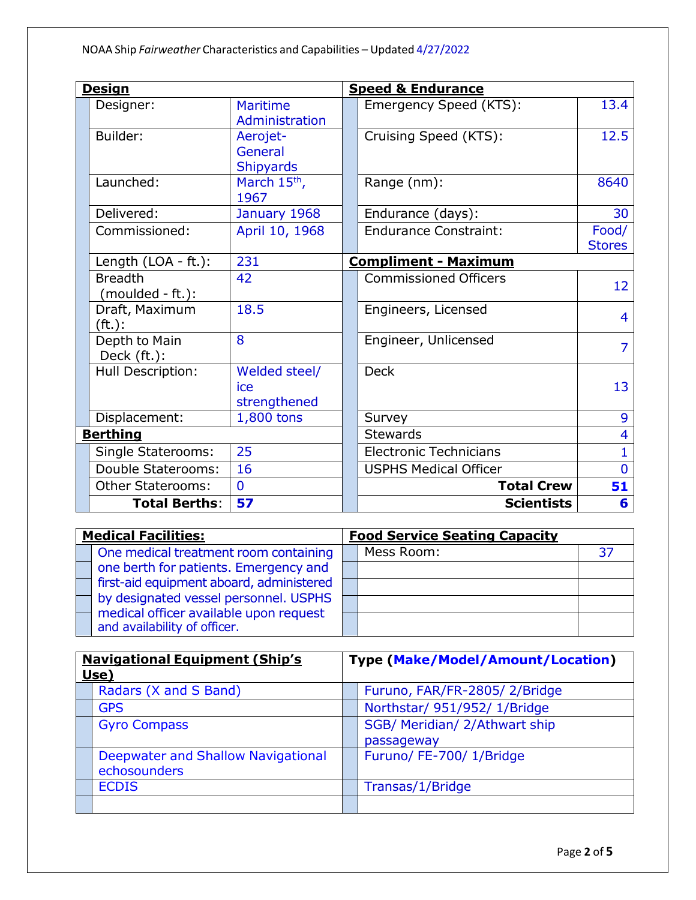| <u>Design</u> |                                    |                                         |  | <b>Speed &amp; Endurance</b>  |                        |  |
|---------------|------------------------------------|-----------------------------------------|--|-------------------------------|------------------------|--|
|               | Designer:                          | <b>Maritime</b><br>Administration       |  | Emergency Speed (KTS):        | 13.4                   |  |
|               | Builder:                           | Aerojet-<br>General<br><b>Shipyards</b> |  | Cruising Speed (KTS):         | 12.5                   |  |
|               | Launched:                          | March 15 <sup>th</sup> ,<br>1967        |  | Range (nm):                   | 8640                   |  |
|               | Delivered:                         | January 1968                            |  | Endurance (days):             | 30                     |  |
|               | Commissioned:                      | April 10, 1968                          |  | <b>Endurance Constraint:</b>  | Food/<br><b>Stores</b> |  |
|               | Length (LOA - ft.):                | 231                                     |  | <b>Compliment - Maximum</b>   |                        |  |
|               | <b>Breadth</b><br>(moulded - ft.): | 42                                      |  | <b>Commissioned Officers</b>  | 12                     |  |
|               | Draft, Maximum<br>$(ft)$ :         | 18.5                                    |  | Engineers, Licensed           | $\overline{4}$         |  |
|               | Depth to Main<br>Deck (ft.):       | 8                                       |  | Engineer, Unlicensed          | 7                      |  |
|               | Hull Description:                  | Welded steel/<br>ice<br>strengthened    |  | <b>Deck</b>                   | 13                     |  |
|               | Displacement:                      | 1,800 tons                              |  | Survey                        | 9                      |  |
|               | <b>Berthing</b>                    |                                         |  | <b>Stewards</b>               | 4                      |  |
|               | Single Staterooms:                 | 25                                      |  | <b>Electronic Technicians</b> |                        |  |
|               | Double Staterooms:                 | 16                                      |  | <b>USPHS Medical Officer</b>  | $\overline{0}$         |  |
|               | <b>Other Staterooms:</b>           | $\mathbf{0}$                            |  | <b>Total Crew</b>             | 51                     |  |
|               | <b>Total Berths:</b>               | 57                                      |  | <b>Scientists</b>             | 6                      |  |

| <b>Medical Facilities:</b> |                                                                                                         | <b>Food Service Seating Capacity</b> |            |    |
|----------------------------|---------------------------------------------------------------------------------------------------------|--------------------------------------|------------|----|
|                            | One medical treatment room containing                                                                   |                                      | Mess Room: | 37 |
|                            | one berth for patients. Emergency and                                                                   |                                      |            |    |
|                            | first-aid equipment aboard, administered                                                                |                                      |            |    |
|                            | by designated vessel personnel. USPHS                                                                   |                                      |            |    |
|                            | $\mathsf{\overline{\mathsf{I}}}$ medical officer available upon request<br>and availability of officer. |                                      |            |    |

| <b>Navigational Equipment (Ship's</b><br>Use) |                                                    | <b>Type (Make/Model/Amount/Location)</b> |                                             |
|-----------------------------------------------|----------------------------------------------------|------------------------------------------|---------------------------------------------|
|                                               | Radars (X and S Band)                              |                                          | Furuno, FAR/FR-2805/2/Bridge                |
|                                               | <b>GPS</b>                                         |                                          | Northstar/ 951/952/ 1/Bridge                |
|                                               | <b>Gyro Compass</b>                                |                                          | SGB/ Meridian/ 2/Athwart ship<br>passageway |
|                                               | Deepwater and Shallow Navigational<br>echosounders |                                          | Furuno/ FE-700/ 1/Bridge                    |
|                                               | <b>ECDIS</b>                                       |                                          | Transas/1/Bridge                            |
|                                               |                                                    |                                          |                                             |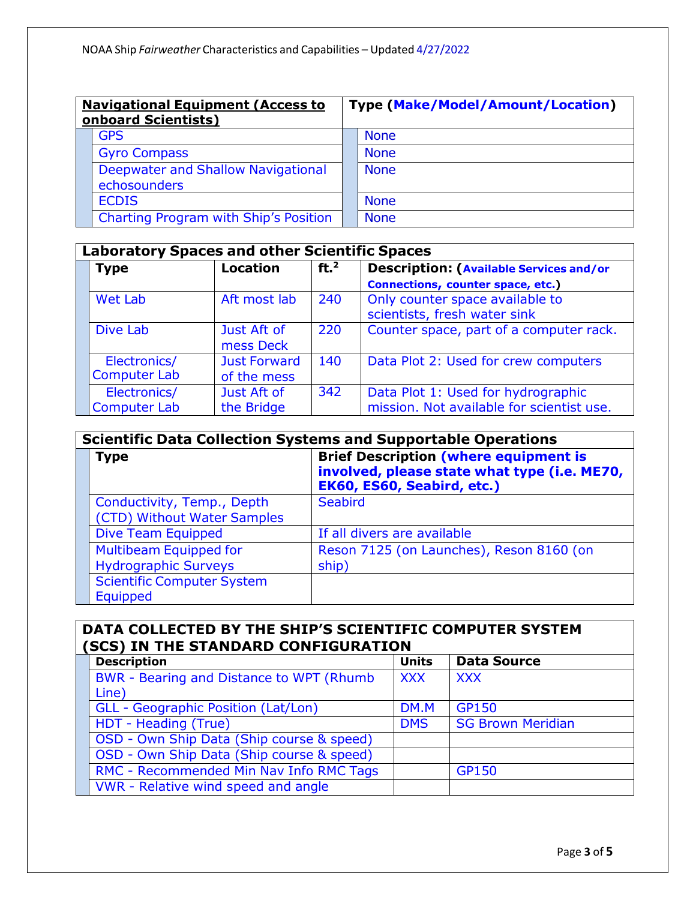| <b>Navigational Equipment (Access to</b><br><b>onboard Scientists)</b> |                                                           | <b>Type (Make/Model/Amount/Location)</b> |             |  |
|------------------------------------------------------------------------|-----------------------------------------------------------|------------------------------------------|-------------|--|
|                                                                        | <b>GPS</b>                                                |                                          | <b>None</b> |  |
|                                                                        | <b>Gyro Compass</b>                                       |                                          | <b>None</b> |  |
|                                                                        | <b>Deepwater and Shallow Navigational</b><br>echosounders |                                          | <b>None</b> |  |
|                                                                        | <b>ECDIS</b>                                              |                                          | <b>None</b> |  |
|                                                                        | Charting Program with Ship's Position                     |                                          | <b>None</b> |  |

| <b>Laboratory Spaces and other Scientific Spaces</b> |                                    |                 |                                                                                 |  |  |  |
|------------------------------------------------------|------------------------------------|-----------------|---------------------------------------------------------------------------------|--|--|--|
| <b>Type</b>                                          | <b>Location</b>                    | ft <sup>2</sup> | <b>Description: (Available Services and/or</b>                                  |  |  |  |
|                                                      |                                    |                 | Connections, counter space, etc.)                                               |  |  |  |
| <b>Wet Lab</b>                                       | Aft most lab                       | 240             | Only counter space available to<br>scientists, fresh water sink                 |  |  |  |
| Dive Lab                                             | Just Aft of<br>mess Deck           | 220             | Counter space, part of a computer rack.                                         |  |  |  |
| Electronics/<br><b>Computer Lab</b>                  | <b>Just Forward</b><br>of the mess | 140             | Data Plot 2: Used for crew computers                                            |  |  |  |
| Electronics/<br><b>Computer Lab</b>                  | Just Aft of<br>the Bridge          | 342             | Data Plot 1: Used for hydrographic<br>mission. Not available for scientist use. |  |  |  |

| <b>Scientific Data Collection Systems and Supportable Operations</b> |                                                                                                                            |  |  |  |  |  |
|----------------------------------------------------------------------|----------------------------------------------------------------------------------------------------------------------------|--|--|--|--|--|
| <b>Type</b>                                                          | <b>Brief Description (where equipment is</b><br>involved, please state what type (i.e. ME70,<br>EK60, ES60, Seabird, etc.) |  |  |  |  |  |
| Conductivity, Temp., Depth<br>(CTD) Without Water Samples            | <b>Seabird</b>                                                                                                             |  |  |  |  |  |
| Dive Team Equipped                                                   | If all divers are available                                                                                                |  |  |  |  |  |
| <b>Multibeam Equipped for</b><br><b>Hydrographic Surveys</b>         | Reson 7125 (on Launches), Reson 8160 (on<br>ship)                                                                          |  |  |  |  |  |
| <b>Scientific Computer System</b><br><b>Equipped</b>                 |                                                                                                                            |  |  |  |  |  |

| DATA COLLECTED BY THE SHIP'S SCIENTIFIC COMPUTER SYSTEM<br>(SCS) IN THE STANDARD CONFIGURATION |              |                          |  |  |  |  |  |
|------------------------------------------------------------------------------------------------|--------------|--------------------------|--|--|--|--|--|
| <b>Description</b>                                                                             | <b>Units</b> | <b>Data Source</b>       |  |  |  |  |  |
| BWR - Bearing and Distance to WPT (Rhumb)                                                      | <b>XXX</b>   | <b>XXX</b>               |  |  |  |  |  |
| Line)                                                                                          |              |                          |  |  |  |  |  |
| <b>GLL</b> - Geographic Position (Lat/Lon)                                                     | DM.M         | <b>GP150</b>             |  |  |  |  |  |
| HDT - Heading (True)                                                                           |              | <b>SG Brown Meridian</b> |  |  |  |  |  |
| OSD - Own Ship Data (Ship course & speed)                                                      |              |                          |  |  |  |  |  |
| OSD - Own Ship Data (Ship course & speed)                                                      |              |                          |  |  |  |  |  |
| RMC - Recommended Min Nav Info RMC Tags                                                        |              | <b>GP150</b>             |  |  |  |  |  |
| VWR - Relative wind speed and angle                                                            |              |                          |  |  |  |  |  |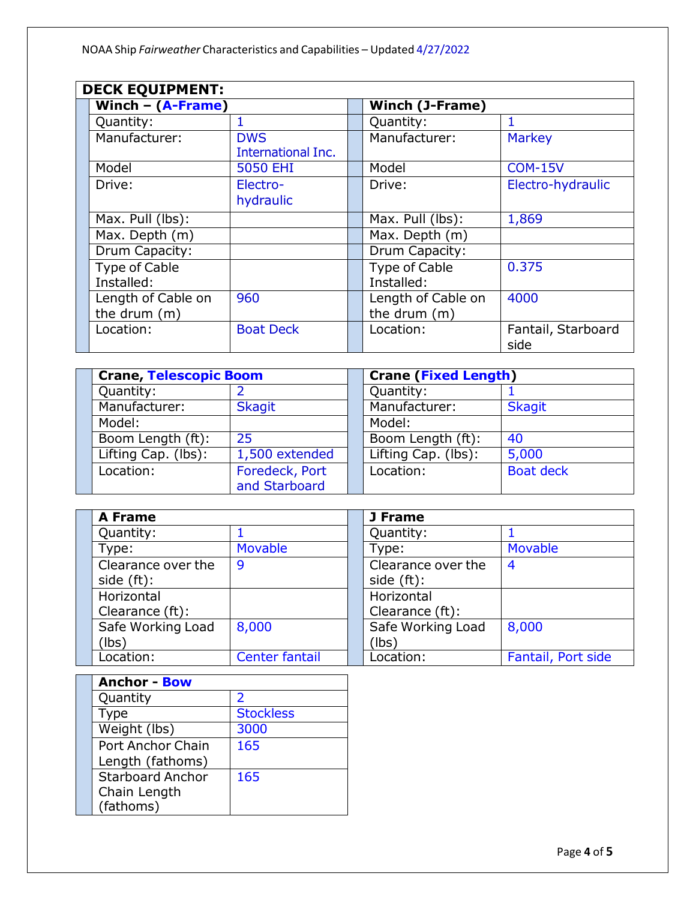| <b>DECK EQUIPMENT:</b>               |                                  |  |                                      |                            |
|--------------------------------------|----------------------------------|--|--------------------------------------|----------------------------|
| Winch $-$ (A-Frame)                  |                                  |  | <b>Winch (J-Frame)</b>               |                            |
| Quantity:                            |                                  |  | Quantity:                            |                            |
| Manufacturer:                        | <b>DWS</b><br>International Inc. |  | Manufacturer:                        | <b>Markey</b>              |
| Model                                | <b>5050 EHI</b>                  |  | Model                                | <b>COM-15V</b>             |
| Drive:                               | Electro-<br>hydraulic            |  | Drive:                               | Electro-hydraulic          |
| $\overline{\text{Max. Pull}}$ (lbs): |                                  |  | Max. Pull (lbs):                     | 1,869                      |
| Max. Depth (m)                       |                                  |  | Max. Depth (m)                       |                            |
| Drum Capacity:                       |                                  |  | Drum Capacity:                       |                            |
| <b>Type of Cable</b><br>Installed:   |                                  |  | Type of Cable<br>Installed:          | 0.375                      |
| Length of Cable on<br>the drum (m)   | 960                              |  | Length of Cable on<br>the drum $(m)$ | 4000                       |
| Location:                            | <b>Boat Deck</b>                 |  | Location:                            | Fantail, Starboard<br>side |

| <b>Crane, Telescopic Boom</b> |                                 | <b>Crane (Fixed Length)</b> |                  |  |
|-------------------------------|---------------------------------|-----------------------------|------------------|--|
| Quantity:                     |                                 | Quantity:                   |                  |  |
| Manufacturer:                 | <b>Skagit</b>                   | Manufacturer:               | <b>Skagit</b>    |  |
| Model:                        |                                 | Model:                      |                  |  |
| Boom Length (ft):             | 25                              | Boom Length (ft):           | 40               |  |
| Lifting Cap. (lbs):           | 1,500 extended                  | Lifting Cap. (lbs):         | 5,000            |  |
| Location:                     | Foredeck, Port<br>and Starboard | Location:                   | <b>Boat deck</b> |  |

| <b>A Frame</b>     |                | J Frame            |                    |
|--------------------|----------------|--------------------|--------------------|
| Quantity:          |                | Quantity:          |                    |
| Type:              | Movable        | Type:              | <b>Movable</b>     |
| Clearance over the | 9              | Clearance over the | 4                  |
| side $(ft)$ :      |                | side $(ft)$ :      |                    |
| Horizontal         |                | Horizontal         |                    |
| Clearance (ft):    |                | Clearance (ft):    |                    |
| Safe Working Load  | 8,000          | Safe Working Load  | 8,000              |
| (lbs)              |                | (lbs)              |                    |
| Location:          | Center fantail | Location:          | Fantail, Port side |

| <b>Anchor - Bow</b>      |                  |  |
|--------------------------|------------------|--|
| Quantity                 | $\mathcal{P}$    |  |
| Type                     | <b>Stockless</b> |  |
| Weight (lbs)             | 3000             |  |
| <b>Port Anchor Chain</b> | 165              |  |
| Length (fathoms)         |                  |  |
| <b>Starboard Anchor</b>  | 165              |  |
| Chain Length             |                  |  |
| (fathoms)                |                  |  |